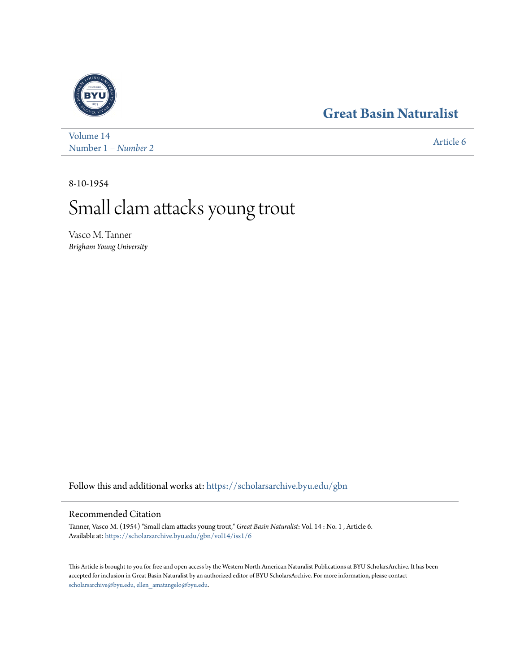## **[Great Basin Naturalist](https://scholarsarchive.byu.edu/gbn?utm_source=scholarsarchive.byu.edu%2Fgbn%2Fvol14%2Fiss1%2F6&utm_medium=PDF&utm_campaign=PDFCoverPages)**



[Volume 14](https://scholarsarchive.byu.edu/gbn/vol14?utm_source=scholarsarchive.byu.edu%2Fgbn%2Fvol14%2Fiss1%2F6&utm_medium=PDF&utm_campaign=PDFCoverPages) Number 1 *[– Number 2](https://scholarsarchive.byu.edu/gbn/vol14/iss1?utm_source=scholarsarchive.byu.edu%2Fgbn%2Fvol14%2Fiss1%2F6&utm_medium=PDF&utm_campaign=PDFCoverPages)* [Article 6](https://scholarsarchive.byu.edu/gbn/vol14/iss1/6?utm_source=scholarsarchive.byu.edu%2Fgbn%2Fvol14%2Fiss1%2F6&utm_medium=PDF&utm_campaign=PDFCoverPages)

8-10-1954

## Small clam attacks young trout

Vasco M. Tanner *Brigham Young University*

Follow this and additional works at: [https://scholarsarchive.byu.edu/gbn](https://scholarsarchive.byu.edu/gbn?utm_source=scholarsarchive.byu.edu%2Fgbn%2Fvol14%2Fiss1%2F6&utm_medium=PDF&utm_campaign=PDFCoverPages)

## Recommended Citation

Tanner, Vasco M. (1954) "Small clam attacks young trout," *Great Basin Naturalist*: Vol. 14 : No. 1 , Article 6. Available at: [https://scholarsarchive.byu.edu/gbn/vol14/iss1/6](https://scholarsarchive.byu.edu/gbn/vol14/iss1/6?utm_source=scholarsarchive.byu.edu%2Fgbn%2Fvol14%2Fiss1%2F6&utm_medium=PDF&utm_campaign=PDFCoverPages)

This Article is brought to you for free and open access by the Western North American Naturalist Publications at BYU ScholarsArchive. It has been accepted for inclusion in Great Basin Naturalist by an authorized editor of BYU ScholarsArchive. For more information, please contact [scholarsarchive@byu.edu, ellen\\_amatangelo@byu.edu.](mailto:scholarsarchive@byu.edu,%20ellen_amatangelo@byu.edu)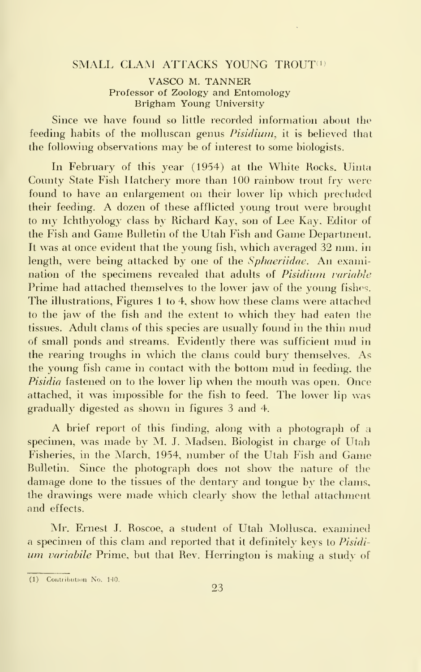## SMALL CLAM ATTACKS YOUNG TROUT<sup>(1)</sup>

VASCO M. TANNER Professor of Zoology and Entomology Brigham Young University

Since we have found so little recorded information about the feeding habits of the molluscan genus *Pisidium*, it is believed that the following observations may be of interest to some biologists.

In February of this year (1954) at the White Rocks, Uinta County State Fish Hatchery more than 100 rainbow trout fry were found to have an enlargement on their lower lip which precluded their feeding. A dozen of these afflicted young trout were brought to my Ichthyology class by Richard Kay, son of Lee Kay, Editor of the Fish and Game Bulletin of the Utah Fish and Game Department. It was at once evident that the young fish, which averaged 32 mm. in length, were being attacked by one of the *Sphaeriidae*. An examination of the specimens revealed that adults of Pisidium variable Prime had attached themselves to the lower jaw of the young fishes. The illustrations, Figures <sup>1</sup> to 4, show how these clams were attached to the jaw of the fish and the extent to which they had eaten the tissues. Adult clams of this species are usually found in the thin mud of small ponds and streams. Evidently there was sufficient mud in the rearing troughs in which the clams could bury themselves. As the young fish came in contact with the bottom mud in feeding, the Pisidia fastened on to the lower lip when the mouth was open. Once attached, it was impossible for the fish to feed. The lower lip was gradually digested as shown in figures 3 and 4.

A brief report of this finding, along with <sup>a</sup> photograph of <sup>a</sup> specimen, was made by M. J. Madsen, Biologist in charge of Utah Fisheries, in the March, 1954, number of the Utah Fish and Game Bulletin. Since the photograph does not show the nature of the damage done to the tissues of the dentary and tongue by the clams, the drawings were made which clearly show the lethal attachment and effects.

Mr. Ernest J. Roscoe, a student of Utah Mollusca. examined a specimen of this clam and reported that it definitely keys to Pisidi um variabile Prime, but that Rev. Herrington is making a study of

 $(1)$  Contribution No. 140.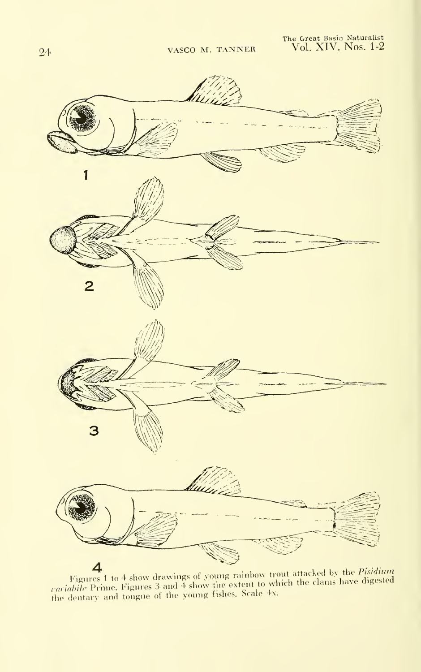

Figures 1 to 4 show drawings of young rainbow trout attacked by the *Pisidium*<br> *extabile* Prime. Figures 3 and 4 show the extent to which the clams have digested<br>the dentary and tongue of the young fishes. Scale 4x.